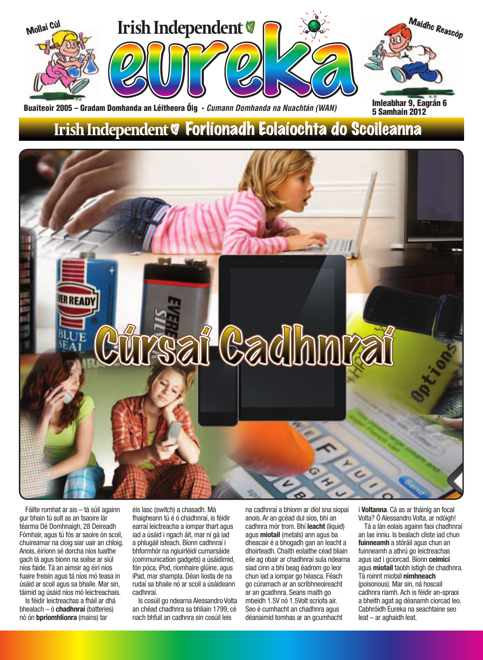

Buaiteoir 2005 – Gradam Domhanda an Léitheora Óig - *Cumann Domhanda na Nuachtán (WAN)* 

### Irish Independent & Forlíonadh Eolaíochta do Scoileanna



Fáilte romhat ar ais – tá súil againn gur bhain tú sult as an tsaoire lár téarma Dé Domhnaigh, 28 Deireadh Fómhair, agus tú fós ar saoire ón scoil, chuireamar na cloig siar uair an chloig. Anois, éiríonn sé dorcha níos luaithe gach lá agus bíonn na soilse ar siúl níos faide. Tá an aimsir ag éirí níos fuaire freisin agus tá níos mó teasa in úsáid ar scoil agus sa bhaile. Mar sin, táimid ag úsáid níos mó leictreachais.

Is féidir leictreachas a fháil ar dhá bhealach – ó **chadhnraí** (batteries) nó ón **bpríomhlíonra** (mains) tar

éis lasc (switch) a chasadh. Má fhaigheann tú é ó chadhnraí, is féidir earraí leictreacha a iompar thart agus iad a úsáid i ngach áit, mar ní gá iad a phlugáil isteach. Bíonn cadhnraí i bhformhór na ngiuirléidí cumarsáide (communication gadgets) a úsáidimid, fón póca, iPod, ríomhaire glúine, agus iPad, mar shampla. Déan liosta de na rudaí sa bhaile nó ar scoil a úsáideann cadhnraí.

Is cosúil go ndearna Alessandro Volta an chéad chadhnra sa bhliain 1799, cé nach bhfuil an cadhnra sin cosúil leis

na cadhnraí a bhíonn ar díol sna siopaí anois. Ar an gcéad dul síos, bhí an cadhnra mór trom. Bhí **leacht** (liquid) agus **miotail** (metals) ann agus ba dheacair é a bhogadh gan an leacht a dhoirteadh. Chaith eolaithe céad bliain eile ag obair ar chadhnraí sula ndearna siad cinn a bhí beag éadrom go leor chun iad a iompar go héasca. Féach go cúramach ar an scríbhneoireacht ar an gcadhnra. Seans maith go mbeidh 1.5V nó 1.5Volt scríofa air. Seo é cumhacht an chadhnra agus déanaimid tomhas ar an gcumhacht

i **Voltanna**. Cá as ar tháinig an focal Volta? Ó Alessandro Volta, ar ndóigh!

5 Samhain 2012

Tá a lán eolais againn faoi chadhnraí an lae inniu. Is bealach cliste iad chun **fuinneamh** a stóráil agus chun an fuinneamh a athrú go leictreachas agus iad i gciorcad. Bíonn **ceimicí**  agus **miotail** taobh istigh de chadhnra. Tá roinnt miotail **nimhneach**  (poisonous). Mar sin, ná hoscail cadhnra riamh. Ach is féidir an-spraoi a bheith agat ag déanamh ciorcad leo. Cabhróidh Eureka na seachtaine seo leat – ar aghaidh leat.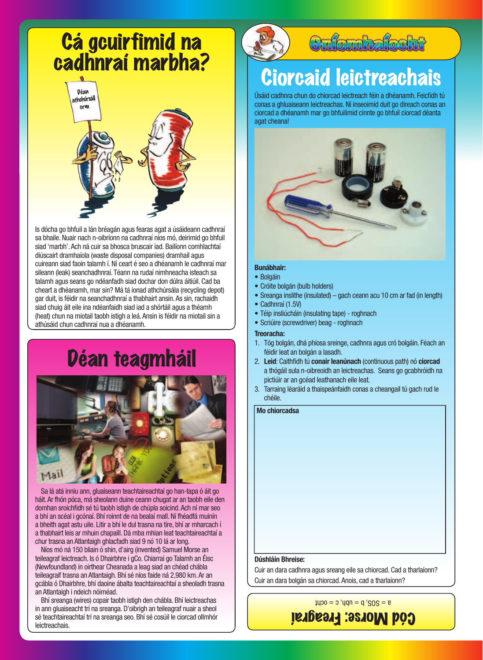# Cá gcuirfimid na<br>cadhnraí marbha?



Is dócha go bhfuil a lán bréagán agus fearas agat a úsáideann cadhnraí sa bhaile. Nuair nach n-oibríonn na cadhnraí níos mó, deirimid go bhfuil siad 'marbh'. Ach ná cuir sa bhosca bruscair iad. Bailíonn comhlachtaí diúscairt dramhaíola (waste disposal companies) dramhaíl agus cuireann siad faoin talamh í. Ní ceart é seo a dhéanamh le cadhnraí mar sileann (leak) seanchadhnraí. Téann na rudaí nimhneacha isteach sa talamh agus seans go ndéanfadh siad dochar don dúlra áitiúil. Cad ba cheart a dhéanamh, mar sin? Má tá ionad athchúrsála (recycling depot) gar duit, is féidir na seanchadhnraí a thabhairt ansin. As sin, rachaidh siad chuig áit eile ina ndéanfaidh siad iad a shórtáil agus a théamh (heat) chun na miotail taobh istigh a leá. Ansin is féidir na miotail sin a athúsáid chun cadhnraí nua a dhéanamh.

### Déan teagmháil



Sa lá atá inniu ann, gluaiseann teachtaireachtaí go han-tapa ó áit go háit. Ar fhón póca, má sheolann duine ceann chugat ar an taobh eile den domhan sroichfidh sé tú taobh istigh de chúpla soicind. Ach ní mar seo a bhí an scéal i gcónaí. Bhí roinnt de na bealaí mall. Ní fhéadfá muinín a bheith agat astu uile. Litir a bhí le dul trasna na tíre, bhí ar mharcach í a thabhairt leis ar mhuin chapaill. Dá mba mhian leat teachtaireachtaí a chur trasna an Atlantaigh ghlacfadh siad 9 nó 10 lá ar long.

Níos mó ná 150 bliain ó shin, d'airg (invented) Samuel Morse an teileagraf leictreach. Is ó Dhairbhre i gCo. Chiarraí go Talamh an Éisc (Newfoundland) in oirthear Cheanada a leag siad an chéad chábla teileagraif trasna an Atlantaigh. Bhí sé níos faide ná 2,980 km. Ar an gcábla ó Dhairbhre, bhí daoine ábalta teachtaireachtaí a sheoladh trasna an Atlantaigh i ndeich nóiméad.

Bhí sreanga (wires) copair taobh istigh den chábla. Bhí leictreachas in ann gluaiseacht trí na sreanga. D'oibrigh an teileagraf nuair a sheol sé teachtaireachtaí trí na sreanga seo. Bhí sé cosúil le ciorcad ollmhór leictreachais.



### Criomhafocht

## **Ciorcaid leictreachais**

Úsáid cadhnra chun do chiorcad leictreach féin a dhéanamh. Feicfidh tú conas a ghluaiseann leictreachas. Ní inseoimid duit go díreach conas an ciorcad a dhéanamh mar go bhfuilimid cinnte go bhfuil ciorcad déanta agat cheana!



#### **Bunábhair:**

- • Bolgáin
- Cróite bolgán (bulb holders)
- Sreanga inslithe (insulated) gach ceann acu 10 cm ar fad (in length)
- Cadhnraí (1.5V)
- Téip insliúcháin (insulating tape) roghnach
- Scriúire (screwdriver) beag roghnach

#### **Treoracha:**

- 1. Tóg bolgán, dhá phíosa sreinge, cadhnra agus cró bolgáin. Féach an féidir leat an bolgán a lasadh.
- 2. Leid: Caithfidh tú conair leanúnach (continuous path) nó ciorcad a thógáil sula n-oibreoidh an leictreachas. Seans go gcabhróidh na pictiúir ar an gcéad leathanach eile leat.
- 3. Tarraing léaráid a thaispeánfaidh conas a cheangail tú gach rud le chéile.

#### **Mo chiorcadsa**

#### **Dúshláin Bhreise:**

Cuir an dara cadhnra agus sreang eile sa chiorcad. Cad a tharlaíonn? Cuir an dara bolgán sa chiorcad. Anois, cad a tharlaíonn?

 $a = 208'$  p = npp' c = ocut

Cód Morse: Freagraí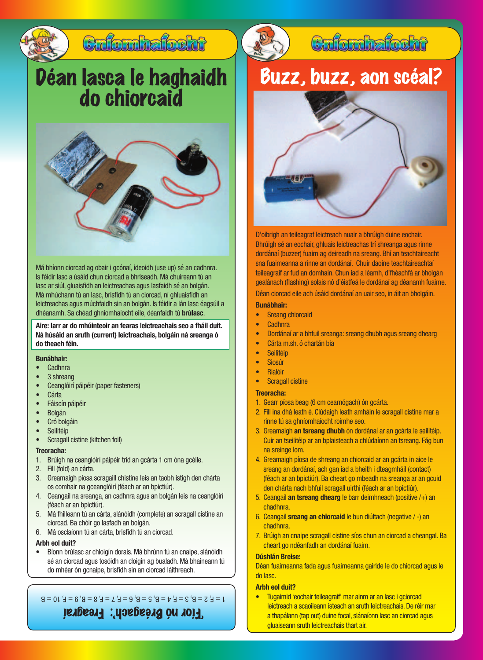

### Críomhaíocht

# Déan lasca le haghaidh do chiorcaid



Má bhíonn ciorcad ag obair i gcónaí, ídeoidh (use up) sé an cadhnra. Is féidir lasc a úsáid chun ciorcad a bhriseadh. Má chuireann tú an lasc ar siúl, gluaisfidh an leictreachas agus lasfaidh sé an bolgán. Má mhúchann tú an lasc, brisfidh tú an ciorcad, ní ghluaisfidh an leictreachas agus múchfaidh sin an bolgán. Is féidir a lán lasc éagsúil a dhéanamh. Sa chéad ghníomhaíocht eile, déanfaidh tú **brúlasc**.

**Aire: Iarr ar do mhúinteoir an fearas leictreachais seo a fháil duit. Ná húsáid an sruth (current) leictreachais, bolgáin ná sreanga ó do theach féin.**

#### **Bunábhair:**

- **Cadhnra**
- 3 shreang
- Ceanglóirí páipéir (paper fasteners)
- **Cárta**
- • Fáiscín páipéir
- • Bolgán
- Cró bolgáin
- **Seilitéip**
- Scragall cistine (kitchen foil)

#### **Treoracha:**

- 1. Brúigh na ceanglóirí páipéir tríd an gcárta 1 cm óna gcéile.
- 2. Fill (fold) an cárta.
- 3. Greamaigh píosa scragaill chistine leis an taobh istigh den chárta os comhair na gceanglóirí (féach ar an bpictiúr).
- 4. Ceangail na sreanga, an cadhnra agus an bolgán leis na ceanglóirí (féach ar an bpictiúr).
- 5. Má fhilleann tú an cárta, slánóidh (complete) an scragall cistine an ciorcad. Ba chóir go lasfadh an bolgán.
- 6. Má osclaíonn tú an cárta, brisfidh tú an ciorcad.

#### **Arbh eol duit?**

Bíonn brúlasc ar chloigín dorais. Má bhrúnn tú an cnaipe, slánóidh sé an ciorcad agus tosóidh an cloigín ag bualadh. Má bhaineann tú do mhéar ón gcnaipe, brisfidh sin an ciorcad láithreach.

'Fíor nó Bréagach': Freagraí  $1 = F$ ,  $2 = B$ ,  $3 = F$ ,  $4 = B$ ,  $5 = B$ ,  $6 = F$ ,  $7 = F$ ,  $8 = B$ ,  $9 = F$ ,  $10 = B$ 



### Buzz, buzz, aon scéal?



D'oibrigh an teileagraf leictreach nuair a bhrúigh duine eochair. Bhrúigh sé an eochair, ghluais leictreachas trí shreanga agus rinne dordánaí (buzzer) fuaim ag deireadh na sreang. Bhí an teachtaireacht sna fuaimeanna a rinne an dordánaí. Chuir daoine teachtaireachtaí teileagraif ar fud an domhain. Chun iad a léamh, d'fhéachfá ar bholgán gealánach (flashing) solais nó d'éistfeá le dordánaí ag déanamh fuaime. Déan ciorcad eile ach úsáid dordánaí an uair seo, in áit an bholgáin.

**Bunábhair:**

- **Sreang chiorcaid**
- **Cadhnra**
- Dordánaí ar a bhfuil sreanga: sreang dhubh agus sreang dhearg
- Cárta m.sh. ó chartán bia
- **Seilitéip**
- Siosúr
- **Rialóir**
- **Scragall cistine**

#### **Treoracha:**

- 1. Gearr píosa beag (6 cm cearnógach) ón gcárta.
- 2. Fill ina dhá leath é. Clúdaigh leath amháin le scragall cistine mar a rinne tú sa ghníomhaíocht roimhe seo.
- 3. Greamaigh **an tsreang dhubh** ón dordánaí ar an gcárta le seilitéip. Cuir an tseilitéip ar an bplaisteach a chlúdaíonn an tsreang. Fág bun na sreinge lom.
- 4. Greamaigh píosa de shreang an chiorcaid ar an gcárta in aice le sreang an dordánaí, ach gan iad a bheith i dteagmháil (contact) (féach ar an bpictiúr). Ba cheart go mbeadh na sreanga ar an gcuid den chárta nach bhfuil scragall uirthi (féach ar an bpictiúr).
- 5. Ceangail **an tsreang dhearg** le barr deimhneach (positive /+) an chadhnra.
- 6. Ceangail **sreang an chiorcaid** le bun diúltach (negative / -) an chadhnra.
- 7. Brúigh an cnaipe scragall cistine síos chun an ciorcad a cheangal. Ba cheart go ndéanfadh an dordánaí fuaim.

#### **Dúshlán Breise:**

Déan fuaimeanna fada agus fuaimeanna gairide le do chiorcad agus le do lasc.

#### **Arbh eol duit?**

Tugaimid 'eochair teileagraif' mar ainm ar an lasc i gciorcad leictreach a scaoileann isteach an sruth leictreachais. De réir mar a thapálann (tap out) duine focal, slánaíonn lasc an ciorcad agus gluaiseann sruth leictreachais thart air.